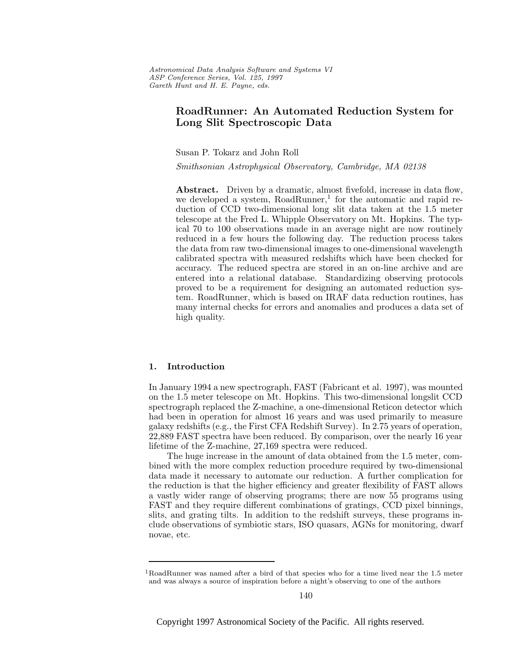# **RoadRunner: An Automated Reduction System for Long Slit Spectroscopic Data**

Susan P. Tokarz and John Roll

Smithsonian Astrophysical Observatory, Cambridge, MA 02138

Abstract. Driven by a dramatic, almost fivefold, increase in data flow, we developed a system,  $RoadRunner<sup>1</sup>$  for the automatic and rapid reduction of CCD two-dimensional long slit data taken at the 1.5 meter telescope at the Fred L. Whipple Observatory on Mt. Hopkins. The typical 70 to 100 observations made in an average night are now routinely reduced in a few hours the following day. The reduction process takes the data from raw two-dimensional images to one-dimensional wavelength calibrated spectra with measured redshifts which have been checked for accuracy. The reduced spectra are stored in an on-line archive and are entered into a relational database. Standardizing observing protocols proved to be a requirement for designing an automated reduction system. RoadRunner, which is based on IRAF data reduction routines, has many internal checks for errors and anomalies and produces a data set of high quality.

## **1. Introduction**

In January 1994 a new spectrograph, FAST (Fabricant et al. 1997), was mounted on the 1.5 meter telescope on Mt. Hopkins. This two-dimensional longslit CCD spectrograph replaced the Z-machine, a one-dimensional Reticon detector which had been in operation for almost 16 years and was used primarily to measure galaxy redshifts (e.g., the First CFA Redshift Survey). In 2.75 years of operation, 22,889 FAST spectra have been reduced. By comparison, over the nearly 16 year lifetime of the Z-machine, 27,169 spectra were reduced.

The huge increase in the amount of data obtained from the 1.5 meter, combined with the more complex reduction procedure required by two-dimensional data made it necessary to automate our reduction. A further complication for the reduction is that the higher efficiency and greater flexibility of FAST allows a vastly wider range of observing programs; there are now 55 programs using FAST and they require different combinations of gratings, CCD pixel binnings, slits, and grating tilts. In addition to the redshift surveys, these programs include observations of symbiotic stars, ISO quasars, AGNs for monitoring, dwarf novae, etc.

<sup>&</sup>lt;sup>1</sup>RoadRunner was named after a bird of that species who for a time lived near the 1.5 meter and was always a source of inspiration before a night's observing to one of the authors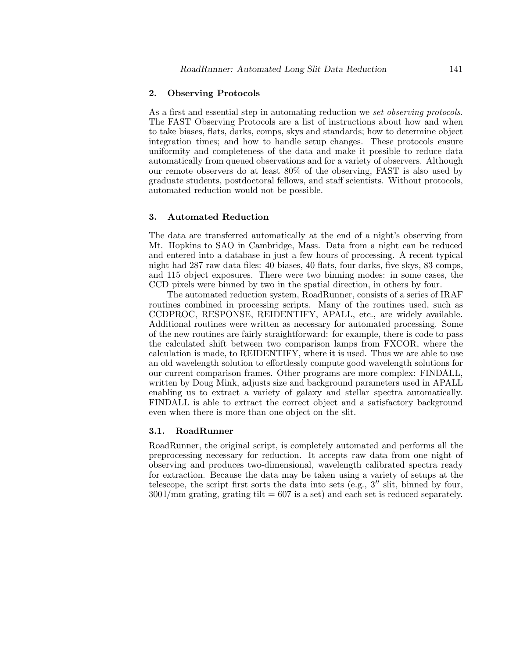## **2. Observing Protocols**

As a first and essential step in automating reduction we set observing protocols. The FAST Observing Protocols are a list of instructions about how and when to take biases, flats, darks, comps, skys and standards; how to determine object integration times; and how to handle setup changes. These protocols ensure uniformity and completeness of the data and make it possible to reduce data automatically from queued observations and for a variety of observers. Although our remote observers do at least 80% of the observing, FAST is also used by graduate students, postdoctoral fellows, and staff scientists. Without protocols, automated reduction would not be possible.

## **3. Automated Reduction**

The data are transferred automatically at the end of a night's observing from Mt. Hopkins to SAO in Cambridge, Mass. Data from a night can be reduced and entered into a database in just a few hours of processing. A recent typical night had 287 raw data files: 40 biases, 40 flats, four darks, five skys, 83 comps, and 115 object exposures. There were two binning modes: in some cases, the CCD pixels were binned by two in the spatial direction, in others by four.

The automated reduction system, RoadRunner, consists of a series of IRAF routines combined in processing scripts. Many of the routines used, such as CCDPROC, RESPONSE, REIDENTIFY, APALL, etc., are widely available. Additional routines were written as necessary for automated processing. Some of the new routines are fairly straightforward: for example, there is code to pass the calculated shift between two comparison lamps from FXCOR, where the calculation is made, to REIDENTIFY, where it is used. Thus we are able to use an old wavelength solution to effortlessly compute good wavelength solutions for our current comparison frames. Other programs are more complex: FINDALL, written by Doug Mink, adjusts size and background parameters used in APALL enabling us to extract a variety of galaxy and stellar spectra automatically. FINDALL is able to extract the correct object and a satisfactory background even when there is more than one object on the slit.

#### **3.1. RoadRunner**

RoadRunner, the original script, is completely automated and performs all the preprocessing necessary for reduction. It accepts raw data from one night of observing and produces two-dimensional, wavelength calibrated spectra ready for extraction. Because the data may be taken using a variety of setups at the telescope, the script first sorts the data into sets (e.g.,  $3''$  slit, binned by four,  $300$  l/mm grating, grating tilt  $= 607$  is a set) and each set is reduced separately.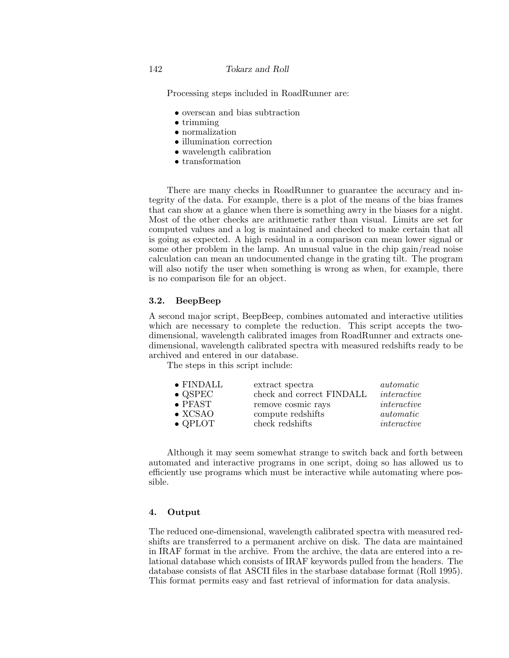Processing steps included in RoadRunner are:

- overscan and bias subtraction
- trimming
- normalization
- illumination correction
- wavelength calibration
- transformation

There are many checks in RoadRunner to guarantee the accuracy and integrity of the data. For example, there is a plot of the means of the bias frames that can show at a glance when there is something awry in the biases for a night. Most of the other checks are arithmetic rather than visual. Limits are set for computed values and a log is maintained and checked to make certain that all is going as expected. A high residual in a comparison can mean lower signal or some other problem in the lamp. An unusual value in the chip gain/read noise calculation can mean an undocumented change in the grating tilt. The program will also notify the user when something is wrong as when, for example, there is no comparison file for an object.

# **3.2. BeepBeep**

A second major script, BeepBeep, combines automated and interactive utilities which are necessary to complete the reduction. This script accepts the twodimensional, wavelength calibrated images from RoadRunner and extracts onedimensional, wavelength calibrated spectra with measured redshifts ready to be archived and entered in our database.

The steps in this script include:

| $\bullet$ FINDALL | extract spectra           | <i>automatic</i> |
|-------------------|---------------------------|------------------|
| $\bullet$ QSPEC   | check and correct FINDALL | interactive      |
| $\bullet$ PFAST   | remove cosmic rays        | interactive      |
| $\bullet$ XCSAO   | compute redshifts         | <i>automatic</i> |
| $\bullet$ QPLOT   | check redshifts           | interactive      |
|                   |                           |                  |

Although it may seem somewhat strange to switch back and forth between automated and interactive programs in one script, doing so has allowed us to efficiently use programs which must be interactive while automating where possible.

#### **4. Output**

The reduced one-dimensional, wavelength calibrated spectra with measured redshifts are transferred to a permanent archive on disk. The data are maintained in IRAF format in the archive. From the archive, the data are entered into a relational database which consists of IRAF keywords pulled from the headers. The database consists of flat ASCII files in the starbase database format (Roll 1995). This format permits easy and fast retrieval of information for data analysis.